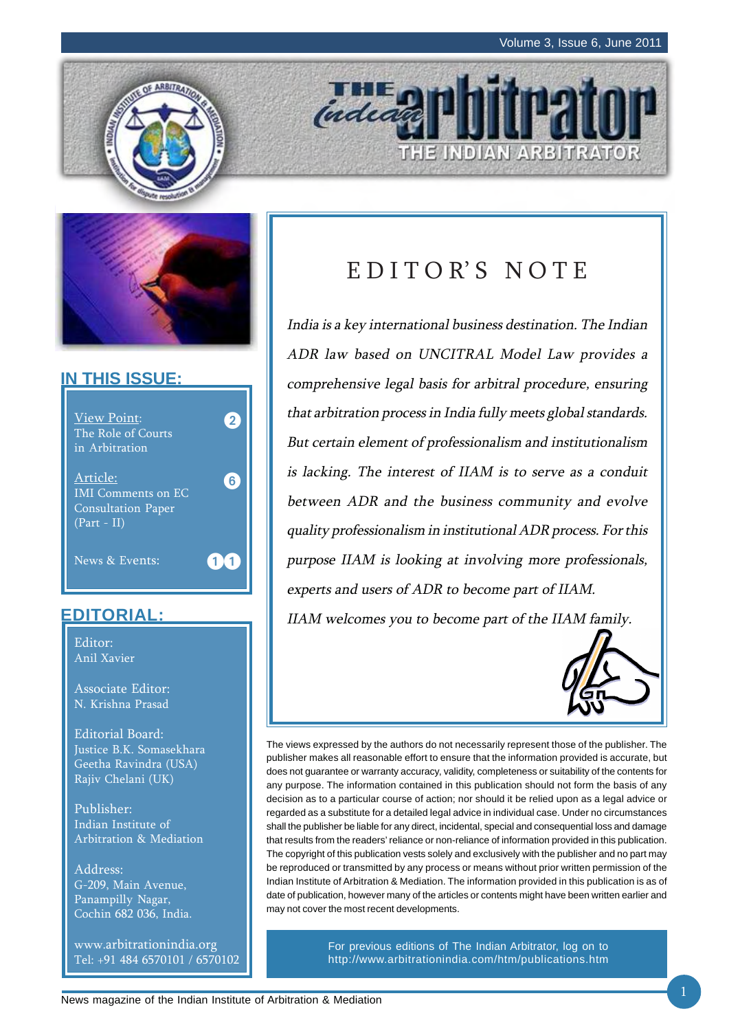E INDIAN ARBITRATOR





### **IN THIS ISSUE:**



### **EDITORIAL:**

Editor: Anil Xavier

Associate Editor: N. Krishna Prasad

Editorial Board: Justice B.K. Somasekhara Geetha Ravindra (USA) Rajiv Chelani (UK)

Publisher: Indian Institute of Arbitration & Mediation

Address: G-209, Main Avenue, Panampilly Nagar, Cochin 682 036, India.

www.arbitrationindia.org Tel: +91 484 6570101 / 6570102

# EDITOR'S NOTE

indead

India is a key international business destination. The Indian ADR law based on UNCITRAL Model Law provides a comprehensive legal basis for arbitral procedure, ensuring that arbitration process in India fully meets global standards. But certain element of professionalism and institutionalism is lacking. The interest of IIAM is to serve as a conduit between ADR and the business community and evolve quality professionalism in institutional ADR process. For this purpose IIAM is looking at involving more professionals, experts and users of ADR to become part of IIAM. IIAM welcomes you to become part of the IIAM family.

The views expressed by the authors do not necessarily represent those of the publisher. The publisher makes all reasonable effort to ensure that the information provided is accurate, but does not guarantee or warranty accuracy, validity, completeness or suitability of the contents for any purpose. The information contained in this publication should not form the basis of any decision as to a particular course of action; nor should it be relied upon as a legal advice or regarded as a substitute for a detailed legal advice in individual case. Under no circumstances shall the publisher be liable for any direct, incidental, special and consequential loss and damage that results from the readers' reliance or non-reliance of information provided in this publication. The copyright of this publication vests solely and exclusively with the publisher and no part may be reproduced or transmitted by any process or means without prior written permission of the Indian Institute of Arbitration & Mediation. The information provided in this publication is as of date of publication, however many of the articles or contents might have been written earlier and may not cover the most recent developments.

> For previous editions of The Indian Arbitrator, log on to http://www.arbitrationindia.com/htm/publications.htm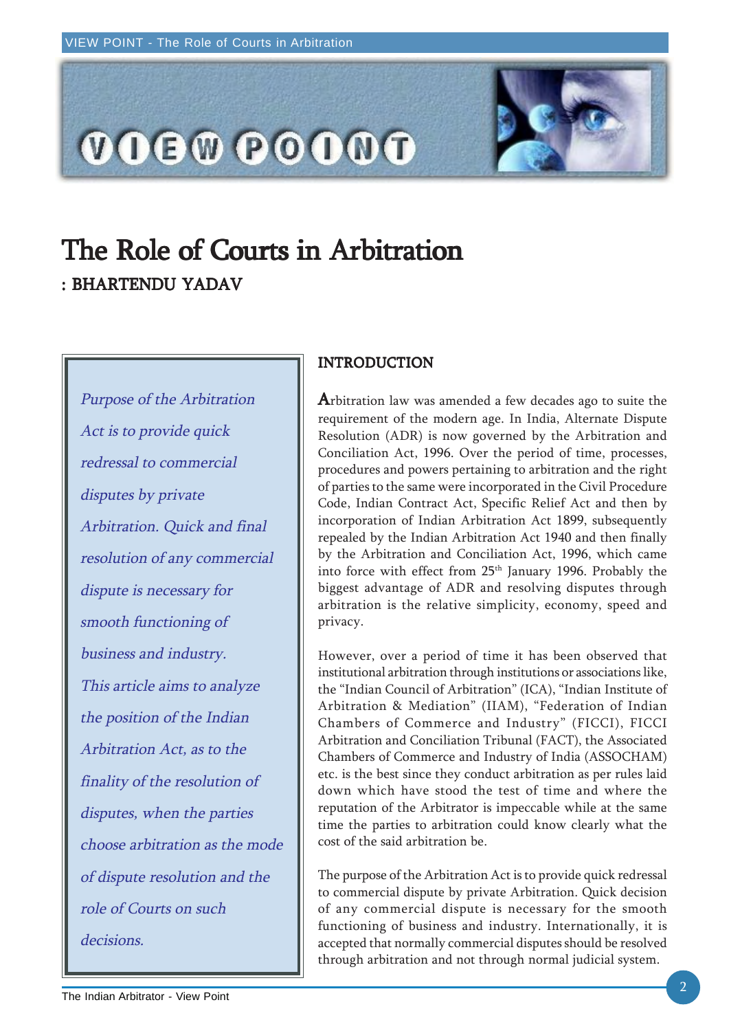

# The Role of Courts in Arbitration : BHARTENDU YADAV

Purpose of the Arbitration Act is to provide quick redressal to commercial disputes by private Arbitration. Quick and final resolution of any commercial dispute is necessary for smooth functioning of business and industry. This article aims to analyze the position of the Indian Arbitration Act, as to the finality of the resolution of disputes, when the parties choose arbitration as the mode of dispute resolution and the role of Courts on such decisions.

#### INTRODUCTION

Arbitration law was amended a few decades ago to suite the requirement of the modern age. In India, Alternate Dispute Resolution (ADR) is now governed by the Arbitration and Conciliation Act, 1996. Over the period of time, processes, procedures and powers pertaining to arbitration and the right of parties to the same were incorporated in the Civil Procedure Code, Indian Contract Act, Specific Relief Act and then by incorporation of Indian Arbitration Act 1899, subsequently repealed by the Indian Arbitration Act 1940 and then finally by the Arbitration and Conciliation Act, 1996, which came into force with effect from 25<sup>th</sup> January 1996. Probably the biggest advantage of ADR and resolving disputes through arbitration is the relative simplicity, economy, speed and privacy.

However, over a period of time it has been observed that institutional arbitration through institutions or associations like, the "Indian Council of Arbitration" (ICA), "Indian Institute of Arbitration & Mediation" (IIAM), "Federation of Indian Chambers of Commerce and Industry" (FICCI), FICCI Arbitration and Conciliation Tribunal (FACT), the Associated Chambers of Commerce and Industry of India (ASSOCHAM) etc. is the best since they conduct arbitration as per rules laid down which have stood the test of time and where the reputation of the Arbitrator is impeccable while at the same time the parties to arbitration could know clearly what the cost of the said arbitration be.

The purpose of the Arbitration Act is to provide quick redressal to commercial dispute by private Arbitration. Quick decision of any commercial dispute is necessary for the smooth functioning of business and industry. Internationally, it is accepted that normally commercial disputes should be resolved through arbitration and not through normal judicial system.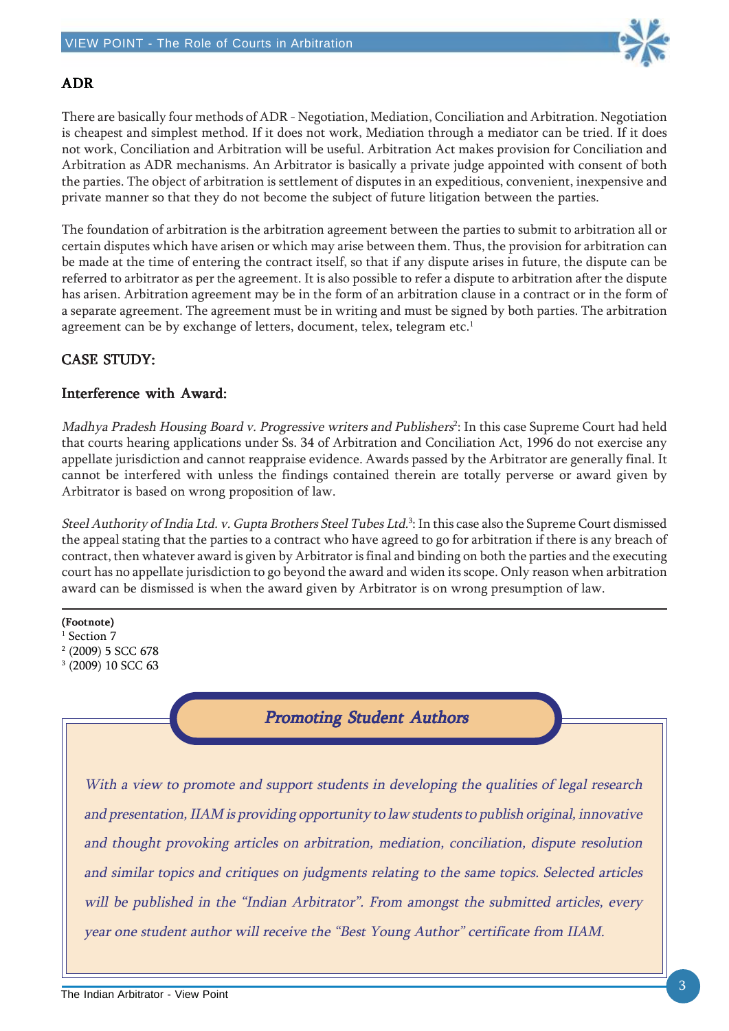

### ADR

There are basically four methods of ADR - Negotiation, Mediation, Conciliation and Arbitration. Negotiation is cheapest and simplest method. If it does not work, Mediation through a mediator can be tried. If it does not work, Conciliation and Arbitration will be useful. Arbitration Act makes provision for Conciliation and Arbitration as ADR mechanisms. An Arbitrator is basically a private judge appointed with consent of both the parties. The object of arbitration is settlement of disputes in an expeditious, convenient, inexpensive and private manner so that they do not become the subject of future litigation between the parties.

The foundation of arbitration is the arbitration agreement between the parties to submit to arbitration all or certain disputes which have arisen or which may arise between them. Thus, the provision for arbitration can be made at the time of entering the contract itself, so that if any dispute arises in future, the dispute can be referred to arbitrator as per the agreement. It is also possible to refer a dispute to arbitration after the dispute has arisen. Arbitration agreement may be in the form of an arbitration clause in a contract or in the form of a separate agreement. The agreement must be in writing and must be signed by both parties. The arbitration agreement can be by exchange of letters, document, telex, telegram etc.<sup>1</sup>

#### CASE STUDY: CASE STUDY:

#### Interference with Award:

Madhya Pradesh Housing Board v. Progressive writers and Publishers<sup>2</sup>: In this case Supreme Court had held that courts hearing applications under Ss. 34 of Arbitration and Conciliation Act, 1996 do not exercise any appellate jurisdiction and cannot reappraise evidence. Awards passed by the Arbitrator are generally final. It cannot be interfered with unless the findings contained therein are totally perverse or award given by Arbitrator is based on wrong proposition of law.

Steel Authority of India Ltd. v. Gupta Brothers Steel Tubes Ltd.<sup>3</sup>: In this case also the Supreme Court dismissed the appeal stating that the parties to a contract who have agreed to go for arbitration if there is any breach of contract, then whatever award is given by Arbitrator is final and binding on both the parties and the executing court has no appellate jurisdiction to go beyond the award and widen its scope. Only reason when arbitration award can be dismissed is when the award given by Arbitrator is on wrong presumption of law.

#### (Footnote)

- <sup>1</sup> Section 7
- 2 (2009) 5 SCC 678 3 (2009) 10 SCC 63

### Promoting Student Authors

With a view to promote and support students in developing the qualities of legal research and presentation, IIAM is providing opportunity to law students to publish original, innovative and thought provoking articles on arbitration, mediation, conciliation, dispute resolution and similar topics and critiques on judgments relating to the same topics. Selected articles will be published in the "Indian Arbitrator". From amongst the submitted articles, every year one student author will receive the "Best Young Author" certificate from IIAM.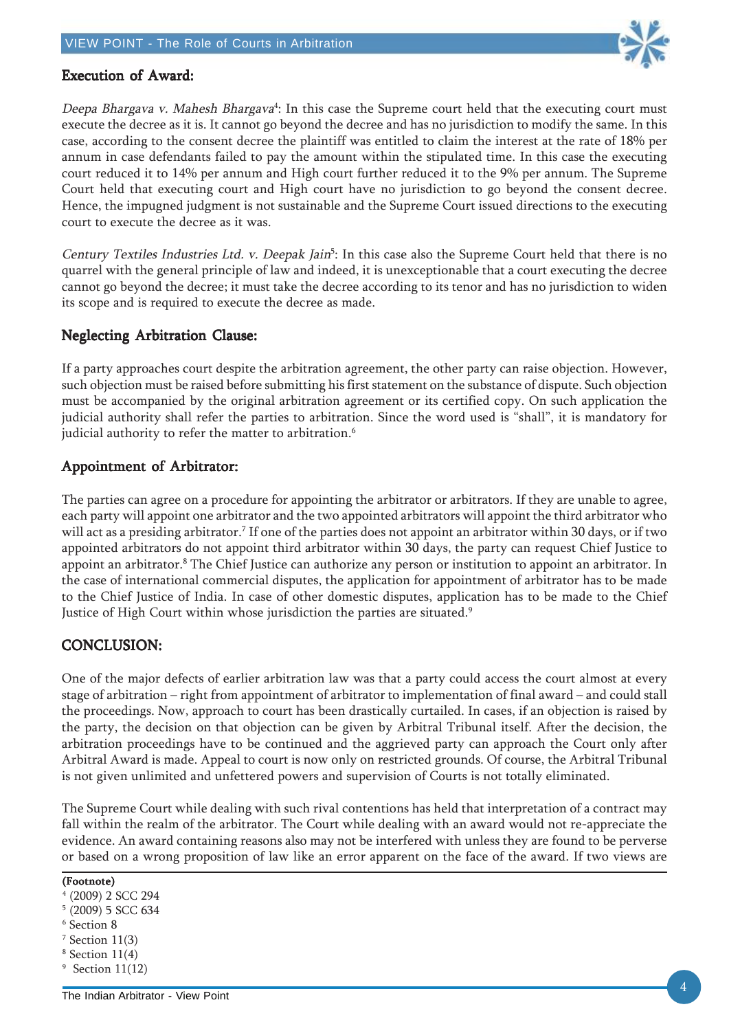

#### Execution of Award: Execution of Award:

Deepa Bhargava v. Mahesh Bhargava<sup>4</sup>: In this case the Supreme court held that the executing court must execute the decree as it is. It cannot go beyond the decree and has no jurisdiction to modify the same. In this case, according to the consent decree the plaintiff was entitled to claim the interest at the rate of 18% per annum in case defendants failed to pay the amount within the stipulated time. In this case the executing court reduced it to 14% per annum and High court further reduced it to the 9% per annum. The Supreme Court held that executing court and High court have no jurisdiction to go beyond the consent decree. Hence, the impugned judgment is not sustainable and the Supreme Court issued directions to the executing court to execute the decree as it was.

Century Textiles Industries Ltd. v. Deepak Jain<sup>5</sup>: In this case also the Supreme Court held that there is no quarrel with the general principle of law and indeed, it is unexceptionable that a court executing the decree cannot go beyond the decree; it must take the decree according to its tenor and has no jurisdiction to widen its scope and is required to execute the decree as made.

#### Neglecting Arbitration Clause:

If a party approaches court despite the arbitration agreement, the other party can raise objection. However, such objection must be raised before submitting his first statement on the substance of dispute. Such objection must be accompanied by the original arbitration agreement or its certified copy. On such application the judicial authority shall refer the parties to arbitration. Since the word used is "shall", it is mandatory for judicial authority to refer the matter to arbitration.<sup>6</sup>

#### Appointment of Arbitrator:

The parties can agree on a procedure for appointing the arbitrator or arbitrators. If they are unable to agree, each party will appoint one arbitrator and the two appointed arbitrators will appoint the third arbitrator who will act as a presiding arbitrator.7 If one of the parties does not appoint an arbitrator within 30 days, or if two appointed arbitrators do not appoint third arbitrator within 30 days, the party can request Chief Justice to appoint an arbitrator.<sup>8</sup> The Chief Justice can authorize any person or institution to appoint an arbitrator. In the case of international commercial disputes, the application for appointment of arbitrator has to be made to the Chief Justice of India. In case of other domestic disputes, application has to be made to the Chief Justice of High Court within whose jurisdiction the parties are situated.<sup>9</sup>

#### CONCLUSION: CONCLUSION:

One of the major defects of earlier arbitration law was that a party could access the court almost at every stage of arbitration – right from appointment of arbitrator to implementation of final award – and could stall the proceedings. Now, approach to court has been drastically curtailed. In cases, if an objection is raised by the party, the decision on that objection can be given by Arbitral Tribunal itself. After the decision, the arbitration proceedings have to be continued and the aggrieved party can approach the Court only after Arbitral Award is made. Appeal to court is now only on restricted grounds. Of course, the Arbitral Tribunal is not given unlimited and unfettered powers and supervision of Courts is not totally eliminated.

The Supreme Court while dealing with such rival contentions has held that interpretation of a contract may fall within the realm of the arbitrator. The Court while dealing with an award would not re-appreciate the evidence. An award containing reasons also may not be interfered with unless they are found to be perverse or based on a wrong proposition of law like an error apparent on the face of the award. If two views are

(Footnote)

- 4 (2009) 2 SCC 294
- 5 (2009) 5 SCC 634
- 6 Section 8
- $7$  Section  $11(3)$
- 8 Section 11(4)
- 9 Section 11(12)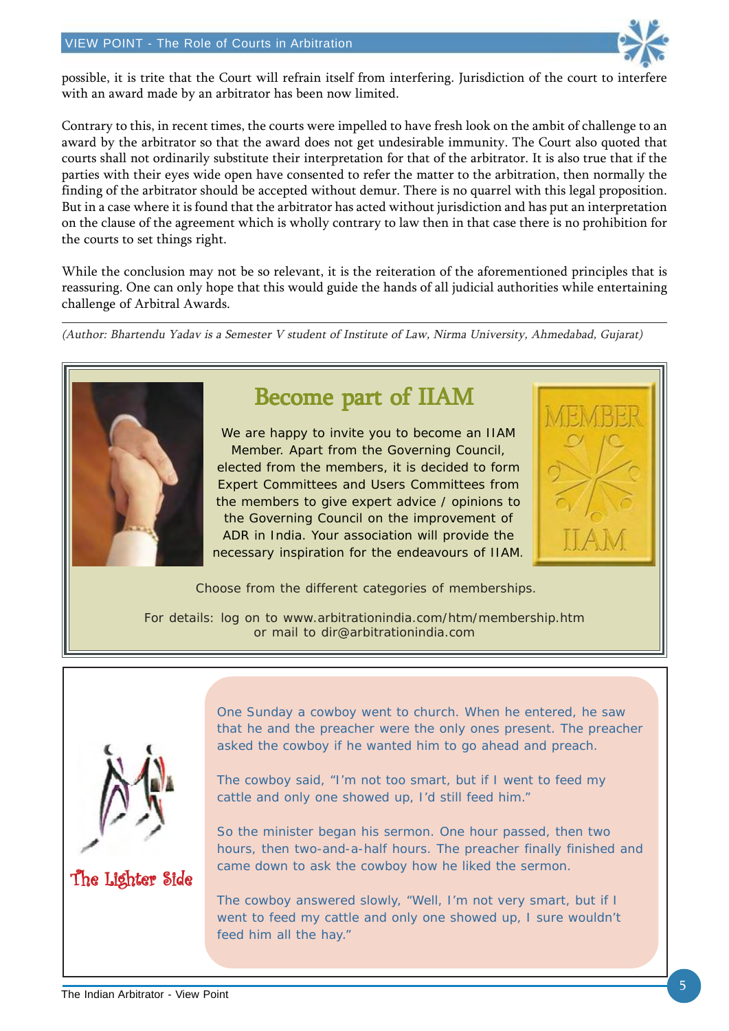

possible, it is trite that the Court will refrain itself from interfering. Jurisdiction of the court to interfere with an award made by an arbitrator has been now limited.

Contrary to this, in recent times, the courts were impelled to have fresh look on the ambit of challenge to an award by the arbitrator so that the award does not get undesirable immunity. The Court also quoted that courts shall not ordinarily substitute their interpretation for that of the arbitrator. It is also true that if the parties with their eyes wide open have consented to refer the matter to the arbitration, then normally the finding of the arbitrator should be accepted without demur. There is no quarrel with this legal proposition. But in a case where it is found that the arbitrator has acted without jurisdiction and has put an interpretation on the clause of the agreement which is wholly contrary to law then in that case there is no prohibition for the courts to set things right.

While the conclusion may not be so relevant, it is the reiteration of the aforementioned principles that is reassuring. One can only hope that this would guide the hands of all judicial authorities while entertaining challenge of Arbitral Awards.

(Author: Bhartendu Yadav is a Semester V student of Institute of Law, Nirma University, Ahmedabad, Gujarat)



## Become part of IIAM

We are happy to invite you to become an IIAM Member. Apart from the Governing Council, elected from the members, it is decided to form Expert Committees and Users Committees from the members to give expert advice / opinions to the Governing Council on the improvement of ADR in India. Your association will provide the necessary inspiration for the endeavours of IIAM.

Choose from the different categories of memberships.

For details: log on to www.arbitrationindia.com/htm/membership.htm or mail to dir@arbitrationindia.com



### The Lighter Side

One Sunday a cowboy went to church. When he entered, he saw that he and the preacher were the only ones present. The preacher asked the cowboy if he wanted him to go ahead and preach.

The cowboy said, "I'm not too smart, but if I went to feed my cattle and only one showed up, I'd still feed him."

So the minister began his sermon. One hour passed, then two hours, then two-and-a-half hours. The preacher finally finished and came down to ask the cowboy how he liked the sermon.

The cowboy answered slowly, "Well, I'm not very smart, but if I went to feed my cattle and only one showed up, I sure wouldn't feed him all the hay."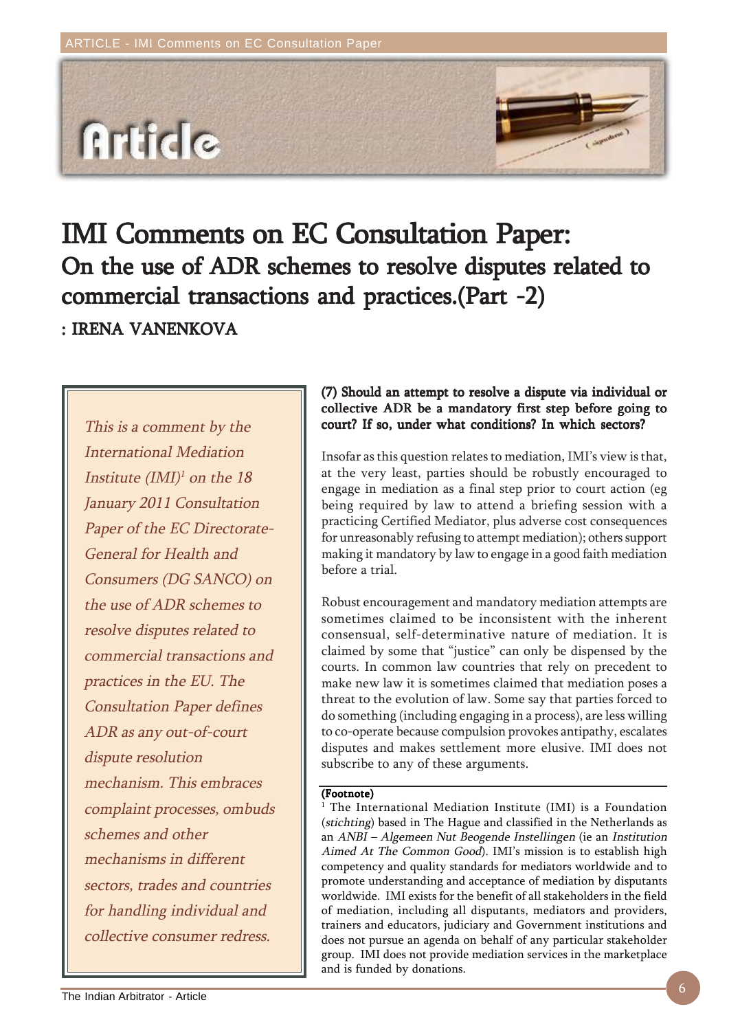

# IMI Comments on EC Consultation Paper: On the use of ADR schemes to resolve disputes related to commercial transactions and practices.(Part -2) : IRENA VANENKOVA

This is a comment by the International Mediation Institute  $(IMI)^{1}$  on the 18 January 2011 Consultation Paper of the EC Directorate-General for Health and Consumers (DG SANCO) on the use of ADR schemes to resolve disputes related to commercial transactions and practices in the EU. The Consultation Paper defines ADR as any out-of-court dispute resolution mechanism. This embraces complaint processes, ombuds schemes and other mechanisms in different sectors, trades and countries for handling individual and collective consumer redress.

#### (7) Should an attempt to resolve a dispute via individual or collective ADR be a mandatory first step before going to court? If so, under what conditions? In which sectors?

Insofar as this question relates to mediation, IMI's view is that, at the very least, parties should be robustly encouraged to engage in mediation as a final step prior to court action (eg being required by law to attend a briefing session with a practicing Certified Mediator, plus adverse cost consequences for unreasonably refusing to attempt mediation); others support making it mandatory by law to engage in a good faith mediation before a trial.

Robust encouragement and mandatory mediation attempts are sometimes claimed to be inconsistent with the inherent consensual, self-determinative nature of mediation. It is claimed by some that "justice" can only be dispensed by the courts. In common law countries that rely on precedent to make new law it is sometimes claimed that mediation poses a threat to the evolution of law. Some say that parties forced to do something (including engaging in a process), are less willing to co-operate because compulsion provokes antipathy, escalates disputes and makes settlement more elusive. IMI does not subscribe to any of these arguments.

#### (Footnote)

<sup>1</sup> The International Mediation Institute (IMI) is a Foundation (stichting) based in The Hague and classified in the Netherlands as an ANBI – Algemeen Nut Beogende Instellingen (ie an Institution Aimed At The Common Good). IMI's mission is to establish high competency and quality standards for mediators worldwide and to promote understanding and acceptance of mediation by disputants worldwide. IMI exists for the benefit of all stakeholders in the field of mediation, including all disputants, mediators and providers, trainers and educators, judiciary and Government institutions and does not pursue an agenda on behalf of any particular stakeholder group. IMI does not provide mediation services in the marketplace and is funded by donations.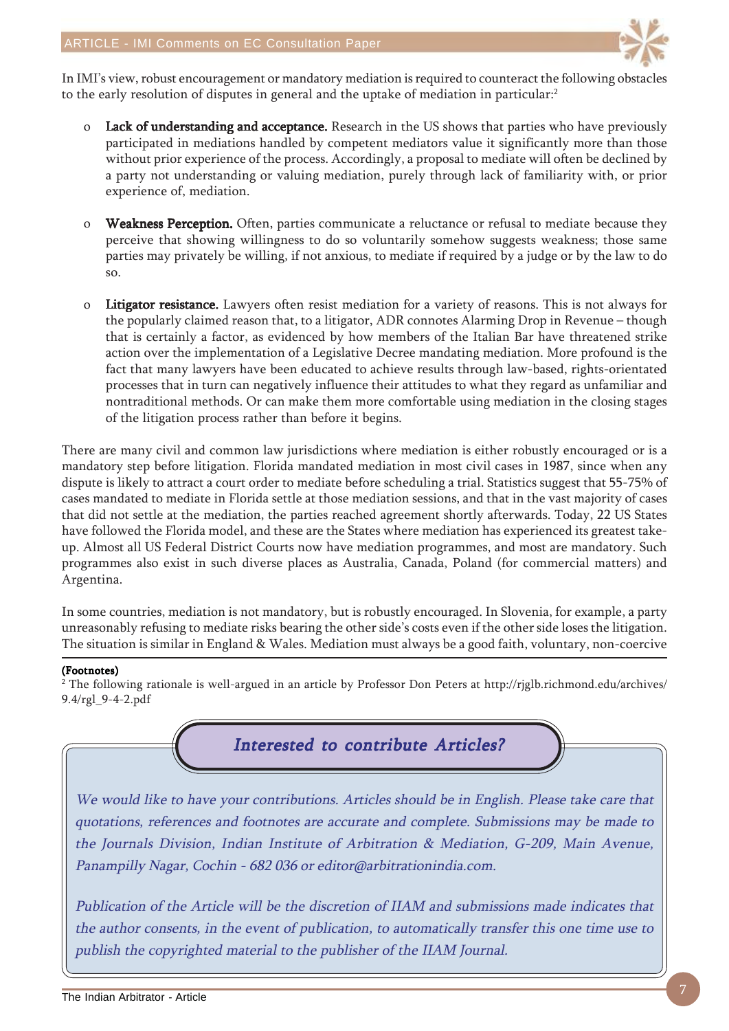

In IMI's view, robust encouragement or mandatory mediation is required to counteract the following obstacles to the early resolution of disputes in general and the uptake of mediation in particular:<sup>2</sup>

- o Lack of understanding and acceptance. Research in the US shows that parties who have previously participated in mediations handled by competent mediators value it significantly more than those without prior experience of the process. Accordingly, a proposal to mediate will often be declined by a party not understanding or valuing mediation, purely through lack of familiarity with, or prior experience of, mediation.
- o Weakness Perception. Often, parties communicate a reluctance or refusal to mediate because they perceive that showing willingness to do so voluntarily somehow suggests weakness; those same parties may privately be willing, if not anxious, to mediate if required by a judge or by the law to do so.
- o Litigator resistance. Lawyers often resist mediation for a variety of reasons. This is not always for the popularly claimed reason that, to a litigator, ADR connotes Alarming Drop in Revenue – though that is certainly a factor, as evidenced by how members of the Italian Bar have threatened strike action over the implementation of a Legislative Decree mandating mediation. More profound is the fact that many lawyers have been educated to achieve results through law-based, rights-orientated processes that in turn can negatively influence their attitudes to what they regard as unfamiliar and nontraditional methods. Or can make them more comfortable using mediation in the closing stages of the litigation process rather than before it begins.

There are many civil and common law jurisdictions where mediation is either robustly encouraged or is a mandatory step before litigation. Florida mandated mediation in most civil cases in 1987, since when any dispute is likely to attract a court order to mediate before scheduling a trial. Statistics suggest that 55-75% of cases mandated to mediate in Florida settle at those mediation sessions, and that in the vast majority of cases that did not settle at the mediation, the parties reached agreement shortly afterwards. Today, 22 US States have followed the Florida model, and these are the States where mediation has experienced its greatest takeup. Almost all US Federal District Courts now have mediation programmes, and most are mandatory. Such programmes also exist in such diverse places as Australia, Canada, Poland (for commercial matters) and Argentina.

In some countries, mediation is not mandatory, but is robustly encouraged. In Slovenia, for example, a party unreasonably refusing to mediate risks bearing the other side's costs even if the other side loses the litigation. The situation is similar in England & Wales. Mediation must always be a good faith, voluntary, non-coercive

#### (Footnotes)

 $^2$  The following rationale is well-argued in an article by Professor Don Peters at http://rjglb.richmond.edu/archives/ 9.4/rgl\_9-4-2.pdf

Interested to contribute Articles?

We would like to have your contributions. Articles should be in English. Please take care that quotations, references and footnotes are accurate and complete. Submissions may be made to the Journals Division, Indian Institute of Arbitration & Mediation, G-209, Main Avenue, Panampilly Nagar, Cochin - 682 036 or editor@arbitrationindia.com.

Publication of the Article will be the discretion of IIAM and submissions made indicates that the author consents, in the event of publication, to automatically transfer this one time use to publish the copyrighted material to the publisher of the IIAM Journal.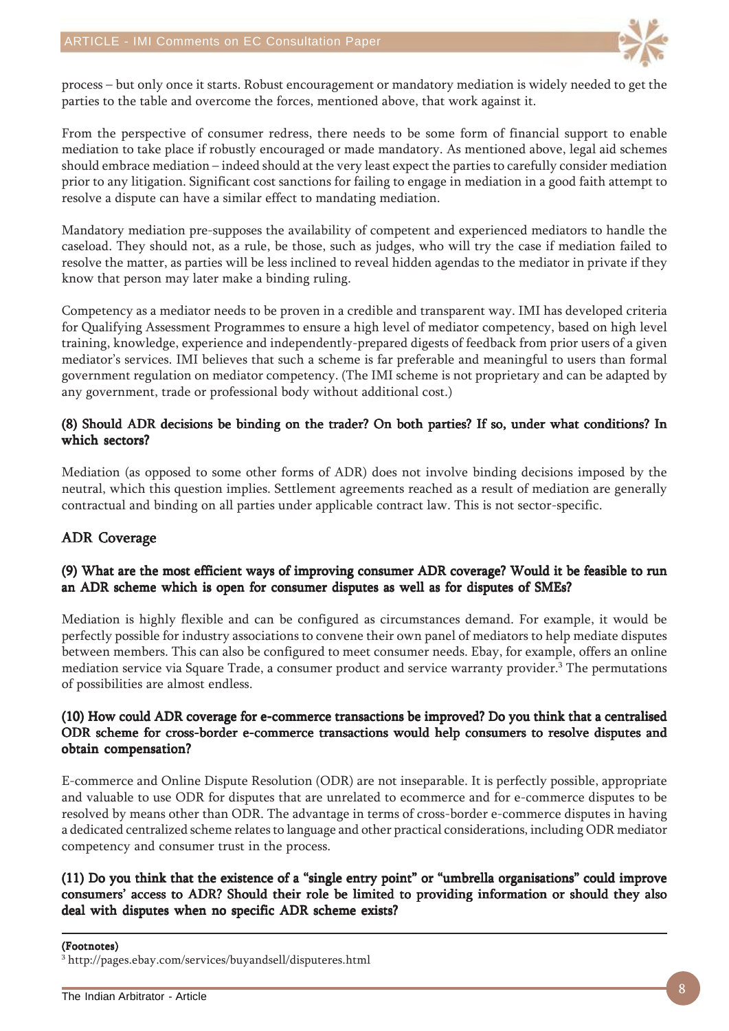

process – but only once it starts. Robust encouragement or mandatory mediation is widely needed to get the parties to the table and overcome the forces, mentioned above, that work against it.

From the perspective of consumer redress, there needs to be some form of financial support to enable mediation to take place if robustly encouraged or made mandatory. As mentioned above, legal aid schemes should embrace mediation – indeed should at the very least expect the parties to carefully consider mediation prior to any litigation. Significant cost sanctions for failing to engage in mediation in a good faith attempt to resolve a dispute can have a similar effect to mandating mediation.

Mandatory mediation pre-supposes the availability of competent and experienced mediators to handle the caseload. They should not, as a rule, be those, such as judges, who will try the case if mediation failed to resolve the matter, as parties will be less inclined to reveal hidden agendas to the mediator in private if they know that person may later make a binding ruling.

Competency as a mediator needs to be proven in a credible and transparent way. IMI has developed criteria for Qualifying Assessment Programmes to ensure a high level of mediator competency, based on high level training, knowledge, experience and independently-prepared digests of feedback from prior users of a given mediator's services. IMI believes that such a scheme is far preferable and meaningful to users than formal government regulation on mediator competency. (The IMI scheme is not proprietary and can be adapted by any government, trade or professional body without additional cost.)

#### (8) Should ADR decisions be binding on the trader? On both parties? If so, under what conditions? In which sectors?

Mediation (as opposed to some other forms of ADR) does not involve binding decisions imposed by the neutral, which this question implies. Settlement agreements reached as a result of mediation are generally contractual and binding on all parties under applicable contract law. This is not sector-specific.

#### ADR Coverage

#### (9) What are the most efficient ways of improving consumer ADR coverage? Would it be feasible to run an ADR scheme which is open for consumer disputes as well as for disputes of SMEs?

Mediation is highly flexible and can be configured as circumstances demand. For example, it would be perfectly possible for industry associations to convene their own panel of mediators to help mediate disputes between members. This can also be configured to meet consumer needs. Ebay, for example, offers an online mediation service via Square Trade, a consumer product and service warranty provider.<sup>3</sup> The permutations of possibilities are almost endless.

#### (10) How could ADR coverage for e-commerce transactions be improved? Do you think that a centralised ODR scheme for cross-border e-commerce transactions would help consumers to resolve disputes and obtain compensation?

E-commerce and Online Dispute Resolution (ODR) are not inseparable. It is perfectly possible, appropriate and valuable to use ODR for disputes that are unrelated to ecommerce and for e-commerce disputes to be resolved by means other than ODR. The advantage in terms of cross-border e-commerce disputes in having a dedicated centralized scheme relates to language and other practical considerations, including ODR mediator competency and consumer trust in the process.

#### (11) Do you think that the existence of a "single entry point" or "umbrella organisations" could improve consumers' access to ADR? Should their role be limited to providing information or should they also deal with disputes when no specific ADR scheme exists?

3 http://pages.ebay.com/services/buyandsell/disputeres.html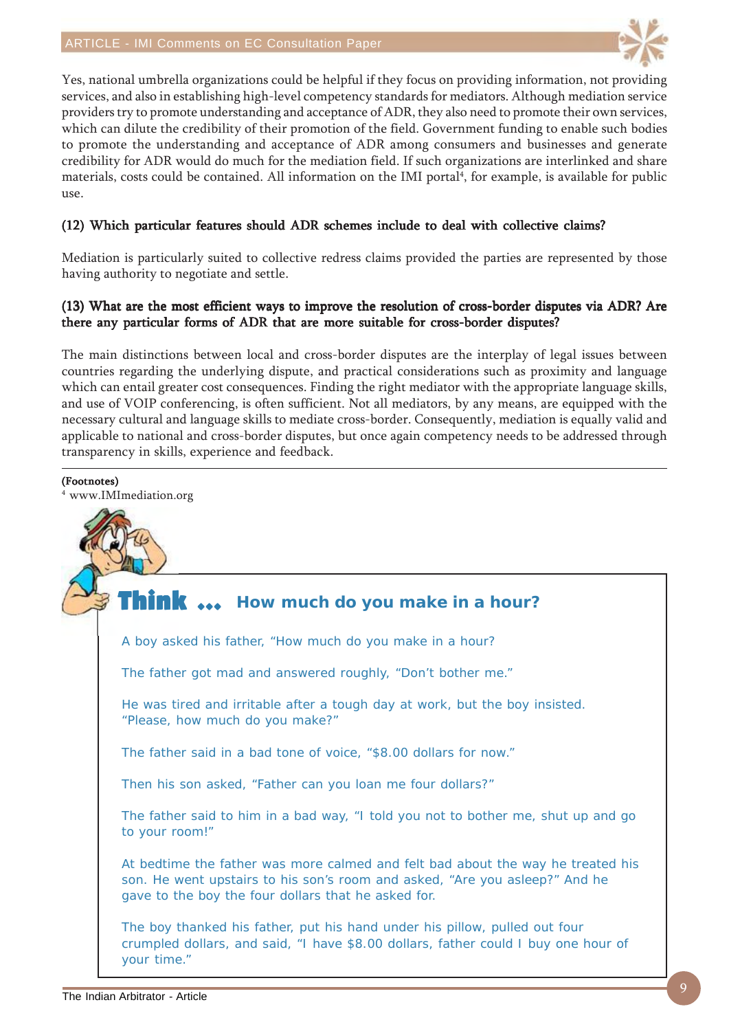

Yes, national umbrella organizations could be helpful if they focus on providing information, not providing services, and also in establishing high-level competency standards for mediators. Although mediation service providers try to promote understanding and acceptance of ADR, they also need to promote their own services, which can dilute the credibility of their promotion of the field. Government funding to enable such bodies to promote the understanding and acceptance of ADR among consumers and businesses and generate credibility for ADR would do much for the mediation field. If such organizations are interlinked and share materials, costs could be contained. All information on the IMI portal<sup>4</sup>, for example, is available for public use.

#### (12) Which particular features should ADR schemes include to deal with collective claims?

Mediation is particularly suited to collective redress claims provided the parties are represented by those having authority to negotiate and settle.

#### (13) What are the most efficient ways to improve the resolution of cross-border disputes via ADR? Are there any particular forms of ADR that are more suitable for cross-border disputes?

The main distinctions between local and cross-border disputes are the interplay of legal issues between countries regarding the underlying dispute, and practical considerations such as proximity and language which can entail greater cost consequences. Finding the right mediator with the appropriate language skills, and use of VOIP conferencing, is often sufficient. Not all mediators, by any means, are equipped with the necessary cultural and language skills to mediate cross-border. Consequently, mediation is equally valid and applicable to national and cross-border disputes, but once again competency needs to be addressed through transparency in skills, experience and feedback.

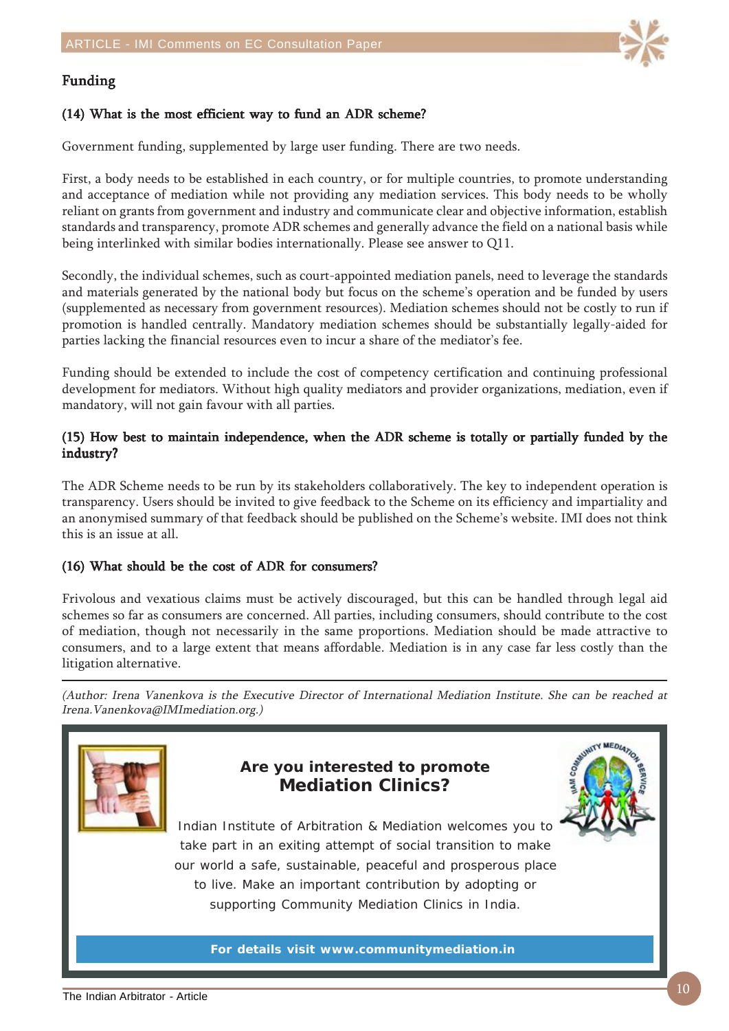

#### Funding

#### (14) What is the most efficient way to fund an ADR scheme?

Government funding, supplemented by large user funding. There are two needs.

First, a body needs to be established in each country, or for multiple countries, to promote understanding and acceptance of mediation while not providing any mediation services. This body needs to be wholly reliant on grants from government and industry and communicate clear and objective information, establish standards and transparency, promote ADR schemes and generally advance the field on a national basis while being interlinked with similar bodies internationally. Please see answer to Q11.

Secondly, the individual schemes, such as court-appointed mediation panels, need to leverage the standards and materials generated by the national body but focus on the scheme's operation and be funded by users (supplemented as necessary from government resources). Mediation schemes should not be costly to run if promotion is handled centrally. Mandatory mediation schemes should be substantially legally-aided for parties lacking the financial resources even to incur a share of the mediator's fee.

Funding should be extended to include the cost of competency certification and continuing professional development for mediators. Without high quality mediators and provider organizations, mediation, even if mandatory, will not gain favour with all parties.

#### (15) How best to maintain independence, when the ADR scheme is totally or partially funded by the industry?

The ADR Scheme needs to be run by its stakeholders collaboratively. The key to independent operation is transparency. Users should be invited to give feedback to the Scheme on its efficiency and impartiality and an anonymised summary of that feedback should be published on the Scheme's website. IMI does not think this is an issue at all.

#### (16) What should be the cost of ADR for consumers?

Frivolous and vexatious claims must be actively discouraged, but this can be handled through legal aid schemes so far as consumers are concerned. All parties, including consumers, should contribute to the cost of mediation, though not necessarily in the same proportions. Mediation should be made attractive to consumers, and to a large extent that means affordable. Mediation is in any case far less costly than the litigation alternative.

(Author: Irena Vanenkova is the Executive Director of International Mediation Institute. She can be reached at Irena.Vanenkova@IMImediation.org.)



### **Are you interested to promote Mediation Clinics?**



Indian Institute of Arbitration & Mediation welcomes you to take part in an exiting attempt of social transition to make our world a safe, sustainable, peaceful and prosperous place to live. Make an important contribution by adopting or supporting Community Mediation Clinics in India.

**For details visit www.communitymediation.in**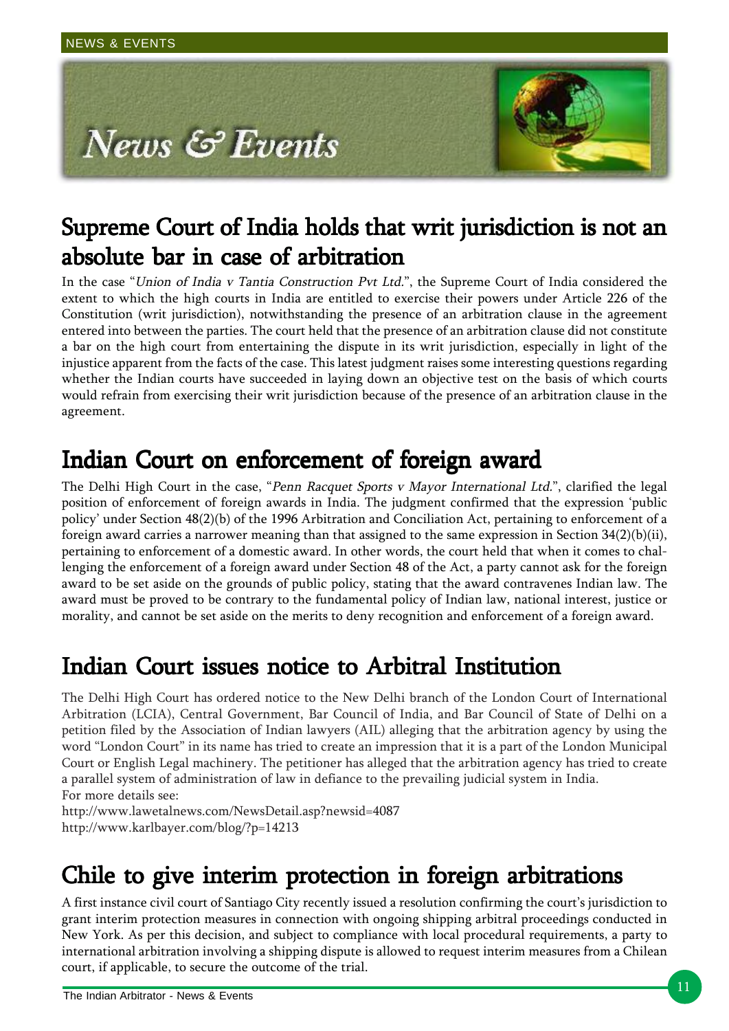

# Supreme Court of India holds that writ jurisdiction is not an absolute bar in case of arbitration

In the case "Union of India v Tantia Construction Pvt Ltd.", the Supreme Court of India considered the extent to which the high courts in India are entitled to exercise their powers under Article 226 of the Constitution (writ jurisdiction), notwithstanding the presence of an arbitration clause in the agreement entered into between the parties. The court held that the presence of an arbitration clause did not constitute a bar on the high court from entertaining the dispute in its writ jurisdiction, especially in light of the injustice apparent from the facts of the case. This latest judgment raises some interesting questions regarding whether the Indian courts have succeeded in laying down an objective test on the basis of which courts would refrain from exercising their writ jurisdiction because of the presence of an arbitration clause in the agreement.

## Indian Court on enforcement of foreign award

The Delhi High Court in the case, "Penn Racquet Sports v Mayor International Ltd.", clarified the legal position of enforcement of foreign awards in India. The judgment confirmed that the expression 'public policy' under Section 48(2)(b) of the 1996 Arbitration and Conciliation Act, pertaining to enforcement of a foreign award carries a narrower meaning than that assigned to the same expression in Section 34(2)(b)(ii), pertaining to enforcement of a domestic award. In other words, the court held that when it comes to challenging the enforcement of a foreign award under Section 48 of the Act, a party cannot ask for the foreign award to be set aside on the grounds of public policy, stating that the award contravenes Indian law. The award must be proved to be contrary to the fundamental policy of Indian law, national interest, justice or morality, and cannot be set aside on the merits to deny recognition and enforcement of a foreign award.

# Indian Court issues notice to Arbitral Institution

The Delhi High Court has ordered notice to the New Delhi branch of the London Court of International Arbitration (LCIA), Central Government, Bar Council of India, and Bar Council of State of Delhi on a petition filed by the Association of Indian lawyers (AIL) alleging that the arbitration agency by using the word "London Court" in its name has tried to create an impression that it is a part of the London Municipal Court or English Legal machinery. The petitioner has alleged that the arbitration agency has tried to create a parallel system of administration of law in defiance to the prevailing judicial system in India. For more details see:

http://www.lawetalnews.com/NewsDetail.asp?newsid=4087 http://www.karlbayer.com/blog/?p=14213

# Chile to give interim protection in foreign arbitrations

A first instance civil court of Santiago City recently issued a resolution confirming the court's jurisdiction to grant interim protection measures in connection with ongoing shipping arbitral proceedings conducted in New York. As per this decision, and subject to compliance with local procedural requirements, a party to international arbitration involving a shipping dispute is allowed to request interim measures from a Chilean court, if applicable, to secure the outcome of the trial.